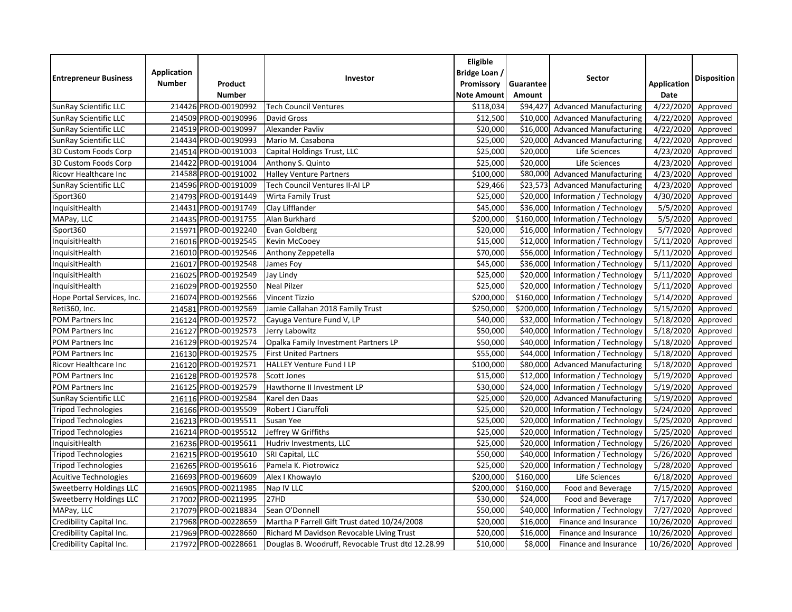| <b>Entrepreneur Business</b>   | Application<br><b>Number</b> | Product<br><b>Number</b> | Investor                                          | Eligible<br>Bridge Loan /<br>Promissory<br><b>Note Amount</b> | Guarantee<br>Amount | Sector                        | <b>Application</b><br>Date | <b>Disposition</b> |
|--------------------------------|------------------------------|--------------------------|---------------------------------------------------|---------------------------------------------------------------|---------------------|-------------------------------|----------------------------|--------------------|
| SunRay Scientific LLC          |                              | 214426 PROD-00190992     | <b>Tech Council Ventures</b>                      | \$118,034                                                     | \$94,427            | <b>Advanced Manufacturing</b> | 4/22/2020                  | Approved           |
| SunRay Scientific LLC          |                              | 214509 PROD-00190996     | David Gross                                       | \$12,500                                                      | \$10,000            | <b>Advanced Manufacturing</b> | 4/22/2020                  | Approved           |
| SunRay Scientific LLC          |                              | 214519 PROD-00190997     | Alexander Pavliv                                  | \$20,000                                                      | \$16,000            | <b>Advanced Manufacturing</b> | 4/22/2020                  | Approved           |
| <b>SunRay Scientific LLC</b>   |                              | 214434 PROD-00190993     | Mario M. Casabona                                 | \$25,000                                                      | \$20,000            | <b>Advanced Manufacturing</b> | 4/22/2020                  | Approved           |
| 3D Custom Foods Corp           |                              | 214514 PROD-00191003     | Capital Holdings Trust, LLC                       | \$25,000                                                      | \$20,000            | Life Sciences                 | 4/23/2020                  | Approved           |
| 3D Custom Foods Corp           |                              | 214422 PROD-00191004     | Anthony S. Quinto                                 | \$25,000                                                      | \$20,000            | Life Sciences                 | 4/23/2020                  | Approved           |
| Ricovr Healthcare Inc          |                              | 214588 PROD-00191002     | <b>Halley Venture Partners</b>                    | \$100,000                                                     | \$80,000            | <b>Advanced Manufacturing</b> | 4/23/2020                  | Approved           |
| SunRay Scientific LLC          |                              | 214596 PROD-00191009     | Tech Council Ventures II-AI LP                    | \$29,466                                                      | \$23,573            | <b>Advanced Manufacturing</b> | 4/23/2020                  | Approved           |
| iSport360                      |                              | 214793 PROD-00191449     | Wirta Family Trust                                | \$25,000                                                      | \$20,000            | Information / Technology      | 4/30/2020                  | Approved           |
| InquisitHealth                 |                              | 214431 PROD-00191749     | Clay Lifflander                                   | \$45,000                                                      | \$36,000            | Information / Technology      | 5/5/2020                   | Approved           |
| MAPay, LLC                     |                              | 214435 PROD-00191755     | Alan Burkhard                                     | \$200,000                                                     | \$160,000           | Information / Technology      | 5/5/2020                   | Approved           |
| iSport360                      |                              | 215971 PROD-00192240     | Evan Goldberg                                     | \$20,000                                                      | \$16,000            | Information / Technology      | 5/7/2020                   | Approved           |
| InquisitHealth                 |                              | 216016 PROD-00192545     | Kevin McCooey                                     | \$15,000                                                      | \$12,000            | Information / Technology      | 5/11/2020                  | Approved           |
| InquisitHealth                 |                              | 216010 PROD-00192546     | Anthony Zeppetella                                | \$70,000                                                      | \$56,000            | Information / Technology      | 5/11/2020                  | Approved           |
| InquisitHealth                 |                              | 216017 PROD-00192548     | James Foy                                         | \$45,000                                                      | \$36,000            | Information / Technology      | 5/11/2020                  | Approved           |
| InquisitHealth                 |                              | 216025 PROD-00192549     | Jay Lindy                                         | \$25,000                                                      | \$20,000            | Information / Technology      | 5/11/2020                  | Approved           |
| InquisitHealth                 |                              | 216029 PROD-00192550     | <b>Neal Pilzer</b>                                | \$25,000                                                      | \$20,000            | Information / Technology      | 5/11/2020                  | Approved           |
| Hope Portal Services, Inc.     |                              | 216074 PROD-00192566     | <b>Vincent Tizzio</b>                             | \$200,000                                                     | \$160,000           | Information / Technology      | 5/14/2020                  | Approved           |
| Reti360, Inc.                  |                              | 214581 PROD-00192569     | Jamie Callahan 2018 Family Trust                  | \$250,000                                                     | \$200,000           | Information / Technology      | 5/15/2020                  | Approved           |
| <b>POM Partners Inc</b>        |                              | 216124 PROD-00192572     | Cayuga Venture Fund V, LP                         | \$40,000                                                      | \$32,000            | Information / Technology      | 5/18/2020                  | Approved           |
| <b>POM Partners Inc</b>        |                              | 216127 PROD-00192573     | Jerry Labowitz                                    | \$50,000                                                      | \$40,000            | Information / Technology      | 5/18/2020                  | Approved           |
| POM Partners Inc               |                              | 216129 PROD-00192574     | Opalka Family Investment Partners LP              | \$50,000                                                      | \$40,000            | Information / Technology      | 5/18/2020                  | Approved           |
| <b>POM Partners Inc</b>        |                              | 216130 PROD-00192575     | <b>First United Partners</b>                      | \$55,000                                                      | \$44,000            | Information / Technology      | 5/18/2020                  | Approved           |
| Ricovr Healthcare Inc          |                              | 216120 PROD-00192571     | <b>HALLEY Venture Fund I LP</b>                   | \$100,000                                                     | \$80,000            | <b>Advanced Manufacturing</b> | 5/18/2020                  | Approved           |
| POM Partners Inc               |                              | 216128 PROD-00192578     | Scott Jones                                       | \$15,000                                                      | \$12,000            | Information / Technology      | 5/19/2020                  | Approved           |
| POM Partners Inc               |                              | 216125 PROD-00192579     | Hawthorne II Investment LP                        | \$30,000                                                      | \$24,000            | Information / Technology      | 5/19/2020                  | Approved           |
| SunRay Scientific LLC          |                              | 216116 PROD-00192584     | Karel den Daas                                    | \$25,000                                                      | \$20,000            | <b>Advanced Manufacturing</b> | 5/19/2020                  | Approved           |
| <b>Tripod Technologies</b>     |                              | 216166 PROD-00195509     | Robert J Ciaruffoli                               | \$25,000                                                      | \$20,000            | Information / Technology      | 5/24/2020                  | Approved           |
| <b>Tripod Technologies</b>     |                              | 216213 PROD-00195511     | Susan Yee                                         | \$25,000                                                      | \$20,000            | Information / Technology      | 5/25/2020                  | Approved           |
| <b>Tripod Technologies</b>     |                              | 216214 PROD-00195512     | Jeffrey W Griffiths                               | \$25,000                                                      | \$20,000            | Information / Technology      | 5/25/2020                  | Approved           |
| InquisitHealth                 |                              | 216236 PROD-00195611     | Hudriv Investments, LLC                           | \$25,000                                                      | \$20,000            | Information / Technology      | 5/26/2020                  | Approved           |
| <b>Tripod Technologies</b>     |                              | 216215 PROD-00195610     | SRI Capital, LLC                                  | \$50,000                                                      | \$40,000            | Information / Technology      | 5/26/2020                  | Approved           |
| <b>Tripod Technologies</b>     |                              | 216265 PROD-00195616     | Pamela K. Piotrowicz                              | \$25,000                                                      | \$20,000            | Information / Technology      | 5/28/2020                  | Approved           |
| <b>Acuitive Technologies</b>   |                              | 216693 PROD-00196609     | Alex I Khowaylo                                   | \$200,000                                                     | \$160,000           | Life Sciences                 | 6/18/2020                  | Approved           |
| <b>Sweetberry Holdings LLC</b> |                              | 216905 PROD-00211985     | Nap IV LLC                                        | \$200,000                                                     | \$160,000           | Food and Beverage             | 7/15/2020                  | Approved           |
| Sweetberry Holdings LLC        |                              | 217002 PROD-00211995     | 27HD                                              | \$30,000                                                      | \$24,000            | Food and Beverage             | 7/17/2020                  | Approved           |
| MAPay, LLC                     |                              | 217079 PROD-00218834     | Sean O'Donnell                                    | \$50,000                                                      | \$40,000            | Information / Technology      | 7/27/2020                  | Approved           |
| Credibility Capital Inc.       |                              | 217968 PROD-00228659     | Martha P Farrell Gift Trust dated 10/24/2008      | \$20,000                                                      | \$16,000            | Finance and Insurance         | 10/26/2020                 | Approved           |
| Credibility Capital Inc.       |                              | 217969 PROD-00228660     | Richard M Davidson Revocable Living Trust         | \$20,000                                                      | \$16,000            | Finance and Insurance         | 10/26/2020                 | Approved           |
| Credibility Capital Inc.       |                              | 217972 PROD-00228661     | Douglas B. Woodruff, Revocable Trust dtd 12.28.99 | \$10,000                                                      | \$8,000             | Finance and Insurance         | 10/26/2020                 | Approved           |